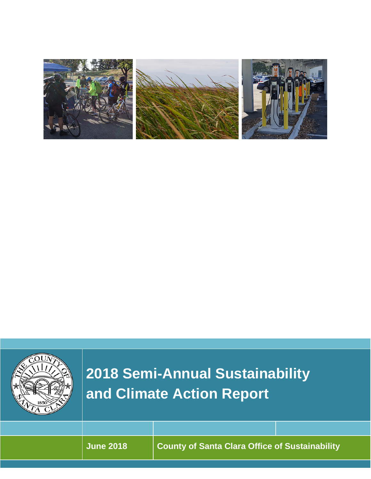

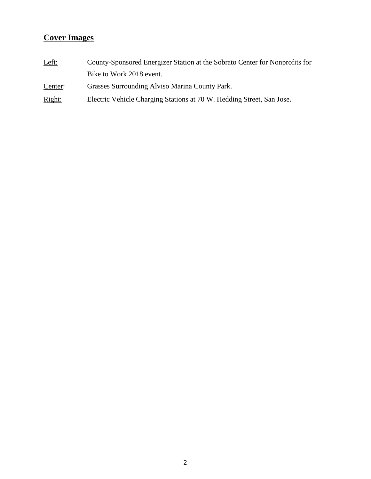## **Cover Images**

| Left:         | County-Sponsored Energizer Station at the Sobrato Center for Nonprofits for |  |  |  |
|---------------|-----------------------------------------------------------------------------|--|--|--|
|               | Bike to Work 2018 event.                                                    |  |  |  |
| Center:       | Grasses Surrounding Alviso Marina County Park.                              |  |  |  |
| <u>Right:</u> | Electric Vehicle Charging Stations at 70 W. Hedding Street, San Jose.       |  |  |  |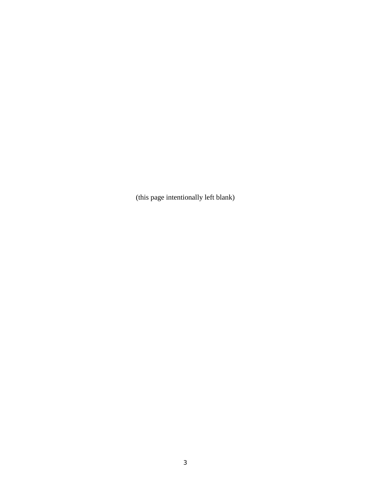(this page intentionally left blank)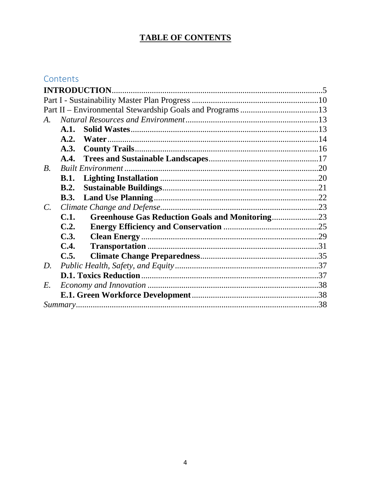## **TABLE OF CONTENTS**

## Contents

|                 | <b>INTRODUCTION</b>                                            |  |
|-----------------|----------------------------------------------------------------|--|
|                 |                                                                |  |
|                 |                                                                |  |
| A.              |                                                                |  |
|                 | A.1.                                                           |  |
|                 | A.2.                                                           |  |
|                 | A.3.                                                           |  |
|                 | $\mathbf{A.4.}$                                                |  |
| <i>B</i> .      |                                                                |  |
|                 | <b>B.1.</b>                                                    |  |
|                 | B.2.                                                           |  |
|                 | B.3.                                                           |  |
| $\mathcal{C}$ . |                                                                |  |
|                 | C.1.<br><b>Greenhouse Gas Reduction Goals and Monitoring23</b> |  |
|                 | C.2.                                                           |  |
|                 | C.3.                                                           |  |
|                 | C.4.                                                           |  |
|                 | C.5.                                                           |  |
| D.              |                                                                |  |
|                 |                                                                |  |
| $E$ .           |                                                                |  |
|                 |                                                                |  |
|                 |                                                                |  |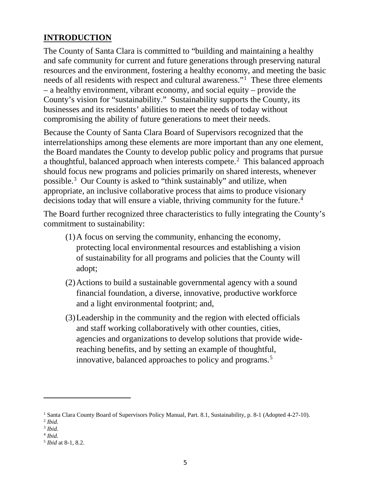## <span id="page-4-0"></span>**INTRODUCTION**

The County of Santa Clara is committed to "building and maintaining a healthy and safe community for current and future generations through preserving natural resources and the environment, fostering a healthy economy, and meeting the basic needs of all residents with respect and cultural awareness."<sup>[1](#page-4-1)</sup> These three elements – a healthy environment, vibrant economy, and social equity – provide the County's vision for "sustainability." Sustainability supports the County, its businesses and its residents' abilities to meet the needs of today without compromising the ability of future generations to meet their needs.

Because the County of Santa Clara Board of Supervisors recognized that the interrelationships among these elements are more important than any one element, the Board mandates the County to develop public policy and programs that pursue a thoughtful, balanced approach when interests compete.<sup>[2](#page-4-2)</sup> This balanced approach should focus new programs and policies primarily on shared interests, whenever possible.<sup>[3](#page-4-3)</sup> Our County is asked to "think sustainably" and utilize, when appropriate, an inclusive collaborative process that aims to produce visionary decisions today that will ensure a viable, thriving community for the future.<sup>[4](#page-4-4)</sup>

The Board further recognized three characteristics to fully integrating the County's commitment to sustainability:

- (1)A focus on serving the community, enhancing the economy, protecting local environmental resources and establishing a vision of sustainability for all programs and policies that the County will adopt;
- (2)Actions to build a sustainable governmental agency with a sound financial foundation, a diverse, innovative, productive workforce and a light environmental footprint; and,
- (3)Leadership in the community and the region with elected officials and staff working collaboratively with other counties, cities, agencies and organizations to develop solutions that provide widereaching benefits, and by setting an example of thoughtful, innovative, balanced approaches to policy and programs.[5](#page-4-5)

 $\overline{a}$ 

<span id="page-4-1"></span><sup>&</sup>lt;sup>1</sup> Santa Clara County Board of Supervisors Policy Manual, Part. 8.1, Sustainability, p. 8-1 (Adopted 4-27-10).

<span id="page-4-2"></span><sup>2</sup> *Ibid.*

<span id="page-4-3"></span><sup>3</sup> *Ibid.*

<span id="page-4-4"></span><sup>4</sup> *Ibid.*

<span id="page-4-5"></span><sup>5</sup> *Ibid* at 8-1, 8.2.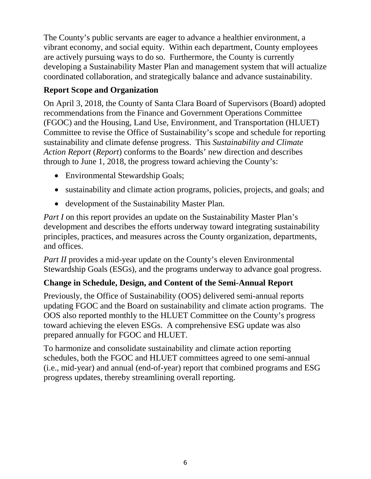The County's public servants are eager to advance a healthier environment, a vibrant economy, and social equity. Within each department, County employees are actively pursuing ways to do so. Furthermore, the County is currently developing a Sustainability Master Plan and management system that will actualize coordinated collaboration, and strategically balance and advance sustainability.

## **Report Scope and Organization**

On April 3, 2018, the County of Santa Clara Board of Supervisors (Board) adopted recommendations from the Finance and Government Operations Committee (FGOC) and the Housing, Land Use, Environment, and Transportation (HLUET) Committee to revise the Office of Sustainability's scope and schedule for reporting sustainability and climate defense progress. This *Sustainability and Climate Action Report* (*Report*) conforms to the Boards' new direction and describes through to June 1, 2018, the progress toward achieving the County's:

- Environmental Stewardship Goals;
- sustainability and climate action programs, policies, projects, and goals; and
- development of the Sustainability Master Plan.

*Part I* on this report provides an update on the Sustainability Master Plan's development and describes the efforts underway toward integrating sustainability principles, practices, and measures across the County organization, departments, and offices.

*Part II* provides a mid-year update on the County's eleven Environmental Stewardship Goals (ESGs), and the programs underway to advance goal progress.

## **Change in Schedule, Design, and Content of the Semi-Annual Report**

Previously, the Office of Sustainability (OOS) delivered semi-annual reports updating FGOC and the Board on sustainability and climate action programs. The OOS also reported monthly to the HLUET Committee on the County's progress toward achieving the eleven ESGs. A comprehensive ESG update was also prepared annually for FGOC and HLUET.

To harmonize and consolidate sustainability and climate action reporting schedules, both the FGOC and HLUET committees agreed to one semi-annual (i.e., mid-year) and annual (end-of-year) report that combined programs and ESG progress updates, thereby streamlining overall reporting.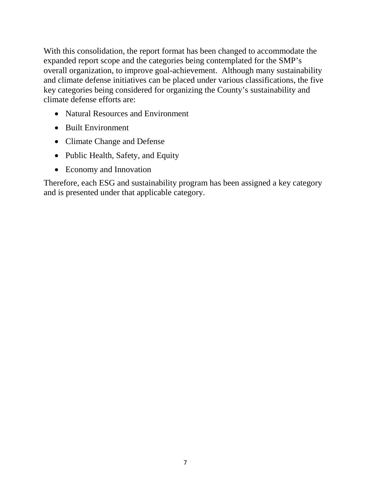With this consolidation, the report format has been changed to accommodate the expanded report scope and the categories being contemplated for the SMP's overall organization, to improve goal-achievement. Although many sustainability and climate defense initiatives can be placed under various classifications, the five key categories being considered for organizing the County's sustainability and climate defense efforts are:

- Natural Resources and Environment
- Built Environment
- Climate Change and Defense
- Public Health, Safety, and Equity
- Economy and Innovation

Therefore, each ESG and sustainability program has been assigned a key category and is presented under that applicable category.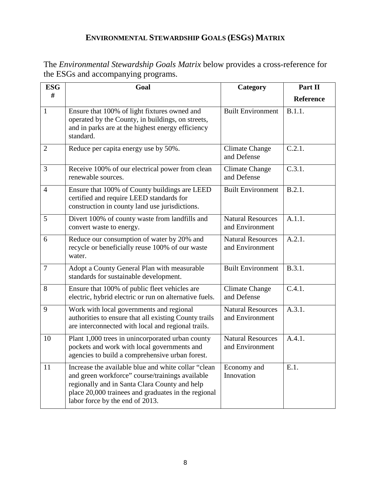## **ENVIRONMENTAL STEWARDSHIP GOALS (ESGS) MATRIX**

The *Environmental Stewardship Goals Matrix* below provides a cross-reference for the ESGs and accompanying programs.

| <b>ESG</b>     | Goal                                                                                                                                                                                                                                               | Category                                    | Part II              |
|----------------|----------------------------------------------------------------------------------------------------------------------------------------------------------------------------------------------------------------------------------------------------|---------------------------------------------|----------------------|
| #              |                                                                                                                                                                                                                                                    | <b>Reference</b>                            |                      |
| $\mathbf{1}$   | Ensure that 100% of light fixtures owned and<br>operated by the County, in buildings, on streets,<br>and in parks are at the highest energy efficiency<br>standard.                                                                                | <b>Built Environment</b>                    | B.1.1.               |
| $\overline{2}$ | Reduce per capita energy use by 50%.                                                                                                                                                                                                               | <b>Climate Change</b><br>and Defense        | C.2.1.               |
| 3              | Receive 100% of our electrical power from clean<br>renewable sources.                                                                                                                                                                              | <b>Climate Change</b><br>and Defense        | C.3.1.               |
| $\overline{4}$ | Ensure that 100% of County buildings are LEED<br>certified and require LEED standards for<br>construction in county land use jurisdictions.                                                                                                        | <b>Built Environment</b>                    | B.2.1.               |
| 5              | Divert 100% of county waste from landfills and<br>convert waste to energy.                                                                                                                                                                         | <b>Natural Resources</b><br>and Environment | A.1.1.               |
| 6              | Reduce our consumption of water by 20% and<br>recycle or beneficially reuse 100% of our waste<br>water.                                                                                                                                            | <b>Natural Resources</b><br>and Environment | A.2.1.               |
| 7              | Adopt a County General Plan with measurable<br>standards for sustainable development.                                                                                                                                                              | <b>Built Environment</b>                    | B.3.1.               |
| 8              | Ensure that 100% of public fleet vehicles are<br>electric, hybrid electric or run on alternative fuels.                                                                                                                                            | <b>Climate Change</b><br>and Defense        | C.4.1.               |
| 9              | Work with local governments and regional<br>authorities to ensure that all existing County trails<br>are interconnected with local and regional trails.                                                                                            | <b>Natural Resources</b><br>and Environment | $A.3.\overline{1}$ . |
| 10             | Plant 1,000 trees in unincorporated urban county<br>pockets and work with local governments and<br>agencies to build a comprehensive urban forest.                                                                                                 | <b>Natural Resources</b><br>and Environment | A.4.1.               |
| 11             | Increase the available blue and white collar "clean"<br>and green workforce" course/trainings available<br>regionally and in Santa Clara County and help<br>place 20,000 trainees and graduates in the regional<br>labor force by the end of 2013. | Economy and<br>Innovation                   | E.1.                 |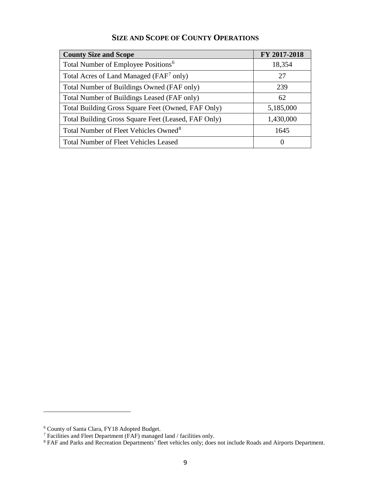| <b>County Size and Scope</b>                        | FY 2017-2018 |
|-----------------------------------------------------|--------------|
| Total Number of Employee Positions <sup>6</sup>     | 18,354       |
| Total Acres of Land Managed (FAF <sup>7</sup> only) | 27           |
| Total Number of Buildings Owned (FAF only)          | 239          |
| Total Number of Buildings Leased (FAF only)         | 62           |
| Total Building Gross Square Feet (Owned, FAF Only)  | 5,185,000    |
| Total Building Gross Square Feet (Leased, FAF Only) | 1,430,000    |
| Total Number of Fleet Vehicles Owned <sup>8</sup>   | 1645         |
| <b>Total Number of Fleet Vehicles Leased</b>        | $\theta$     |

 $\overline{a}$ 

<span id="page-8-0"></span><sup>6</sup> County of Santa Clara, FY18 Adopted Budget.

<span id="page-8-2"></span><span id="page-8-1"></span> $7$  Facilities and Fleet Department (FAF) managed land / facilities only.

<sup>&</sup>lt;sup>8</sup> FAF and Parks and Recreation Departments' fleet vehicles only; does not include Roads and Airports Department.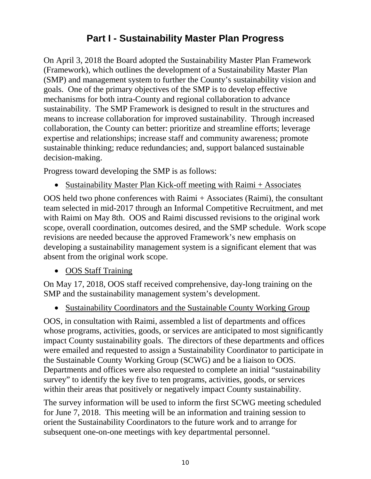## **Part I - Sustainability Master Plan Progress**

<span id="page-9-0"></span>On April 3, 2018 the Board adopted the Sustainability Master Plan Framework (Framework), which outlines the development of a Sustainability Master Plan (SMP) and management system to further the County's sustainability vision and goals. One of the primary objectives of the SMP is to develop effective mechanisms for both intra-County and regional collaboration to advance sustainability. The SMP Framework is designed to result in the structures and means to increase collaboration for improved sustainability. Through increased collaboration, the County can better: prioritize and streamline efforts; leverage expertise and relationships; increase staff and community awareness; promote sustainable thinking; reduce redundancies; and, support balanced sustainable decision-making.

Progress toward developing the SMP is as follows:

• Sustainability Master Plan Kick-off meeting with Raimi + Associates

OOS held two phone conferences with Raimi + Associates (Raimi), the consultant team selected in mid-2017 through an Informal Competitive Recruitment, and met with Raimi on May 8th. OOS and Raimi discussed revisions to the original work scope, overall coordination, outcomes desired, and the SMP schedule. Work scope revisions are needed because the approved Framework's new emphasis on developing a sustainability management system is a significant element that was absent from the original work scope.

## • OOS Staff Training

On May 17, 2018, OOS staff received comprehensive, day-long training on the SMP and the sustainability management system's development.

• Sustainability Coordinators and the Sustainable County Working Group

OOS, in consultation with Raimi, assembled a list of departments and offices whose programs, activities, goods, or services are anticipated to most significantly impact County sustainability goals. The directors of these departments and offices were emailed and requested to assign a Sustainability Coordinator to participate in the Sustainable County Working Group (SCWG) and be a liaison to OOS. Departments and offices were also requested to complete an initial "sustainability survey" to identify the key five to ten programs, activities, goods, or services within their areas that positively or negatively impact County sustainability.

The survey information will be used to inform the first SCWG meeting scheduled for June 7, 2018. This meeting will be an information and training session to orient the Sustainability Coordinators to the future work and to arrange for subsequent one-on-one meetings with key departmental personnel.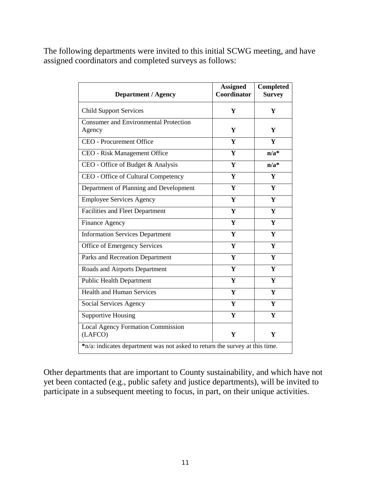The following departments were invited to this initial SCWG meeting, and have assigned coordinators and completed surveys as follows:

| <b>Department / Agency</b>                                                  | <b>Assigned</b><br>Coordinator | Completed<br><b>Survey</b> |  |
|-----------------------------------------------------------------------------|--------------------------------|----------------------------|--|
| <b>Child Support Services</b>                                               | Y                              | Y                          |  |
| <b>Consumer and Environmental Protection</b><br>Agency                      | Y                              | Y                          |  |
| <b>CEO</b> - Procurement Office                                             | Y                              | Y                          |  |
| CEO - Risk Management Office                                                | Y                              | $n/a*$                     |  |
| CEO - Office of Budget & Analysis                                           | Y                              | $n/a*$                     |  |
| CEO - Office of Cultural Competency                                         | Y                              | Y                          |  |
| Department of Planning and Development                                      | Y                              | Y                          |  |
| <b>Employee Services Agency</b>                                             | Y                              | Y                          |  |
| Facilities and Fleet Department                                             | Y                              | Y                          |  |
| Finance Agency                                                              | Y                              | Y                          |  |
| <b>Information Services Department</b>                                      | Y                              | Y                          |  |
| Office of Emergency Services                                                | Y                              | Y                          |  |
| Parks and Recreation Department                                             | Y                              | Y                          |  |
| Roads and Airports Department                                               | Y                              | Y                          |  |
| <b>Public Health Department</b>                                             | Y                              | Y                          |  |
| <b>Health and Human Services</b>                                            | Y                              | Y                          |  |
| Social Services Agency                                                      | $\overline{\mathbf{Y}}$        | Y                          |  |
| <b>Supportive Housing</b>                                                   | Y                              | Y                          |  |
| <b>Local Agency Formation Commission</b><br>(LAFCO)                         | Y                              | Y                          |  |
| *n/a: indicates department was not asked to return the survey at this time. |                                |                            |  |

Other departments that are important to County sustainability, and which have not yet been contacted (e.g., public safety and justice departments), will be invited to participate in a subsequent meeting to focus, in part, on their unique activities.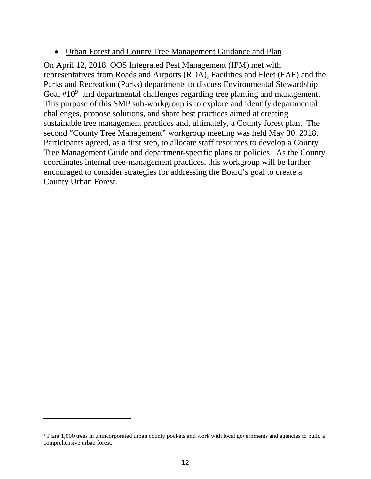#### • Urban Forest and County Tree Management Guidance and Plan

On April 12, 2018, OOS Integrated Pest Management (IPM) met with representatives from Roads and Airports (RDA), Facilities and Fleet (FAF) and the Parks and Recreation (Parks) departments to discuss Environmental Stewardship Goal  $#10<sup>9</sup>$  $#10<sup>9</sup>$  $#10<sup>9</sup>$  and departmental challenges regarding tree planting and management. This purpose of this SMP sub-workgroup is to explore and identify departmental challenges, propose solutions, and share best practices aimed at creating sustainable tree management practices and, ultimately, a County forest plan. The second "County Tree Management" workgroup meeting was held May 30, 2018. Participants agreed, as a first step, to allocate staff resources to develop a County Tree Management Guide and department-specific plans or policies. As the County coordinates internal tree-management practices, this workgroup will be further encouraged to consider strategies for addressing the Board's goal to create a County Urban Forest.

 $\overline{a}$ 

<span id="page-11-0"></span><sup>9</sup> Plant 1,000 trees in unincorporated urban county pockets and work with local governments and agencies to build a comprehensive urban forest.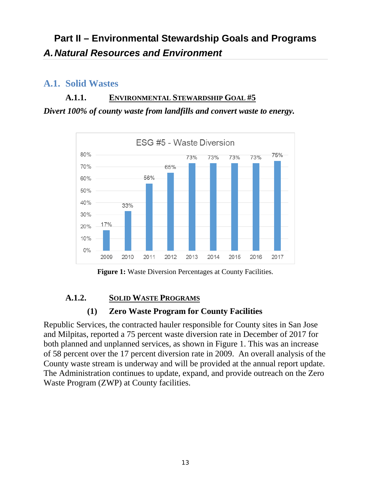## <span id="page-12-1"></span><span id="page-12-0"></span>**Part II – Environmental Stewardship Goals and Programs** *A.Natural Resources and Environment*

## <span id="page-12-2"></span>**A.1. Solid Wastes**

### **A.1.1. ENVIRONMENTAL STEWARDSHIP GOAL #5**

*Divert 100% of county waste from landfills and convert waste to energy.*



**Figure 1:** Waste Diversion Percentages at County Facilities.

## **A.1.2. SOLID WASTE PROGRAMS**

#### **(1) Zero Waste Program for County Facilities**

Republic Services, the contracted hauler responsible for County sites in San Jose and Milpitas, reported a 75 percent waste diversion rate in December of 2017 for both planned and unplanned services, as shown in Figure 1. This was an increase of 58 percent over the 17 percent diversion rate in 2009. An overall analysis of the County waste stream is underway and will be provided at the annual report update. The Administration continues to update, expand, and provide outreach on the Zero Waste Program (ZWP) at County facilities.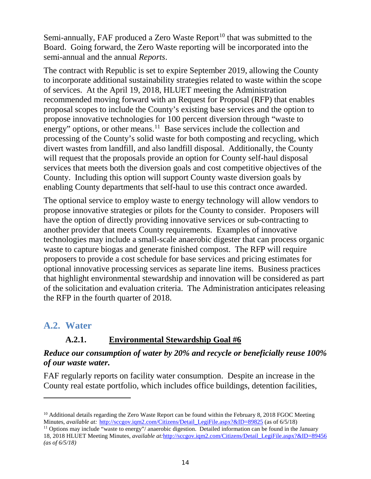Semi-annually, FAF produced a Zero Waste Report<sup>[10](#page-13-1)</sup> that was submitted to the Board. Going forward, the Zero Waste reporting will be incorporated into the semi-annual and the annual *Reports*.

The contract with Republic is set to expire September 2019, allowing the County to incorporate additional sustainability strategies related to waste within the scope of services. At the April 19, 2018, HLUET meeting the Administration recommended moving forward with an Request for Proposal (RFP) that enables proposal scopes to include the County's existing base services and the option to propose innovative technologies for 100 percent diversion through "waste to energy" options, or other means.<sup>[11](#page-13-2)</sup> Base services include the collection and processing of the County's solid waste for both composting and recycling, which divert wastes from landfill, and also landfill disposal. Additionally, the County will request that the proposals provide an option for County self-haul disposal services that meets both the diversion goals and cost competitive objectives of the County. Including this option will support County waste diversion goals by enabling County departments that self-haul to use this contract once awarded.

The optional service to employ waste to energy technology will allow vendors to propose innovative strategies or pilots for the County to consider. Proposers will have the option of directly providing innovative services or sub-contracting to another provider that meets County requirements. Examples of innovative technologies may include a small-scale anaerobic digester that can process organic waste to capture biogas and generate finished compost. The RFP will require proposers to provide a cost schedule for base services and pricing estimates for optional innovative processing services as separate line items. Business practices that highlight environmental stewardship and innovation will be considered as part of the solicitation and evaluation criteria. The Administration anticipates releasing the RFP in the fourth quarter of 2018.

## <span id="page-13-0"></span>**A.2. Water**

 $\overline{a}$ 

#### **A.2.1. Environmental Stewardship Goal #6**

#### *Reduce our consumption of water by 20% and recycle or beneficially reuse 100% of our waste water.*

FAF regularly reports on facility water consumption. Despite an increase in the County real estate portfolio, which includes office buildings, detention facilities,

<span id="page-13-1"></span> $10$  Additional details regarding the Zero Waste Report can be found within the February 8, 2018 FGOC Meeting Minutes, *available at:* [http://sccgov.iqm2.com/Citizens/Detail\\_LegiFile.aspx?&ID=89825](http://sccgov.iqm2.com/Citizens/Detail_LegiFile.aspx?&ID=89825) (as of 6/5/18)

<span id="page-13-2"></span><sup>&</sup>lt;sup>11</sup> Options may include "waste to energy"/ anaerobic digestion. Detailed information can be found in the January 18, 2018 HLUET Meeting Minutes, *available at:*[http://sccgov.iqm2.com/Citizens/Detail\\_LegiFile.aspx?&ID=89456](http://sccgov.iqm2.com/Citizens/Detail_LegiFile.aspx?&ID=89456) *(as of 6/5/18)*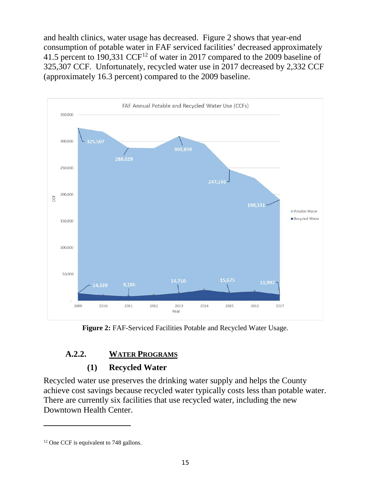and health clinics, water usage has decreased. Figure 2 shows that year-end consumption of potable water in FAF serviced facilities' decreased approximately 41.5 percent to 190,331 CCF<sup>[12](#page-14-0)</sup> of water in 2017 compared to the 2009 baseline of 325,307 CCF. Unfortunately, recycled water use in 2017 decreased by 2,332 CCF (approximately 16.3 percent) compared to the 2009 baseline.



**Figure 2:** FAF-Serviced Facilities Potable and Recycled Water Usage.

## **A.2.2. WATER PROGRAMS**

#### **(1) Recycled Water**

Recycled water use preserves the drinking water supply and helps the County achieve cost savings because recycled water typically costs less than potable water. There are currently six facilities that use recycled water, including the new Downtown Health Center.

 $\overline{a}$ 

<span id="page-14-0"></span><sup>&</sup>lt;sup>12</sup> One CCF is equivalent to 748 gallons.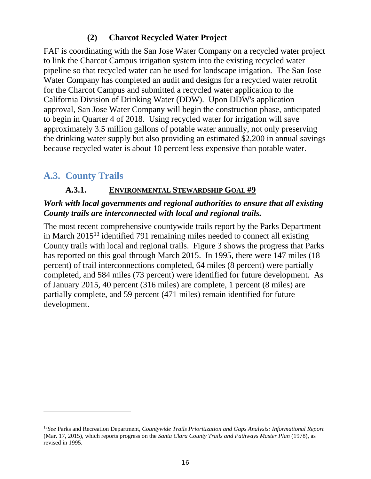### **(2) Charcot Recycled Water Project**

FAF is coordinating with the San Jose Water Company on a recycled water project to link the Charcot Campus irrigation system into the existing recycled water pipeline so that recycled water can be used for landscape irrigation. The San Jose Water Company has completed an audit and designs for a recycled water retrofit for the Charcot Campus and submitted a recycled water application to the California Division of Drinking Water (DDW). Upon DDW's application approval, San Jose Water Company will begin the construction phase, anticipated to begin in Quarter 4 of 2018. Using recycled water for irrigation will save approximately 3.5 million gallons of potable water annually, not only preserving the drinking water supply but also providing an estimated \$2,200 in annual savings because recycled water is about 10 percent less expensive than potable water.

## <span id="page-15-0"></span>**A.3. County Trails**

 $\overline{a}$ 

#### **A.3.1. ENVIRONMENTAL STEWARDSHIP GOAL #9**

#### *Work with local governments and regional authorities to ensure that all existing County trails are interconnected with local and regional trails.*

The most recent comprehensive countywide trails report by the Parks Department in March  $2015^{13}$  $2015^{13}$  $2015^{13}$  identified 791 remaining miles needed to connect all existing County trails with local and regional trails. Figure 3 shows the progress that Parks has reported on this goal through March 2015. In 1995, there were 147 miles (18 percent) of trail interconnections completed, 64 miles (8 percent) were partially completed, and 584 miles (73 percent) were identified for future development. As of January 2015, 40 percent (316 miles) are complete, 1 percent (8 miles) are partially complete, and 59 percent (471 miles) remain identified for future development.

<span id="page-15-1"></span><sup>13</sup>*See* Parks and Recreation Department, *Countywide Trails Prioritization and Gaps Analysis: Informational Report* (Mar. 17, 2015), which reports progress on the *Santa Clara County Trails and Pathways Master Plan* (1978), as revised in 1995.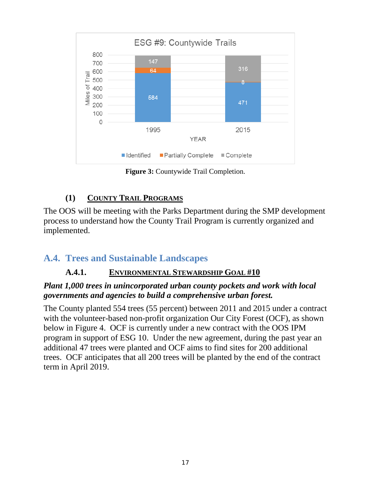

**Figure 3:** Countywide Trail Completion.

## **(1) COUNTY TRAIL PROGRAMS**

The OOS will be meeting with the Parks Department during the SMP development process to understand how the County Trail Program is currently organized and implemented.

## <span id="page-16-0"></span>**A.4. Trees and Sustainable Landscapes**

## **A.4.1. ENVIRONMENTAL STEWARDSHIP GOAL #10**

### *Plant 1,000 trees in unincorporated urban county pockets and work with local governments and agencies to build a comprehensive urban forest.*

The County planted 554 trees (55 percent) between 2011 and 2015 under a contract with the volunteer-based non-profit organization Our City Forest (OCF), as shown below in Figure 4. OCF is currently under a new contract with the OOS IPM program in support of ESG 10. Under the new agreement, during the past year an additional 47 trees were planted and OCF aims to find sites for 200 additional trees. OCF anticipates that all 200 trees will be planted by the end of the contract term in April 2019.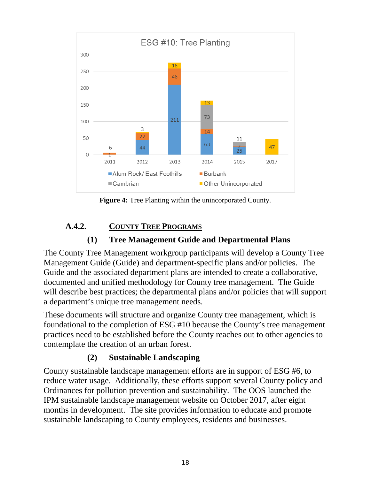

**Figure 4:** Tree Planting within the unincorporated County.

## **A.4.2. COUNTY TREE PROGRAMS**

## **(1) Tree Management Guide and Departmental Plans**

The County Tree Management workgroup participants will develop a County Tree Management Guide (Guide) and department-specific plans and/or policies. The Guide and the associated department plans are intended to create a collaborative, documented and unified methodology for County tree management. The Guide will describe best practices; the departmental plans and/or policies that will support a department's unique tree management needs.

These documents will structure and organize County tree management, which is foundational to the completion of ESG #10 because the County's tree management practices need to be established before the County reaches out to other agencies to contemplate the creation of an urban forest.

## **(2) Sustainable Landscaping**

County sustainable landscape management efforts are in support of ESG #6, to reduce water usage. Additionally, these efforts support several County policy and Ordinances for pollution prevention and sustainability. The OOS launched the IPM sustainable landscape management website on October 2017, after eight months in development. The site provides information to educate and promote sustainable landscaping to County employees, residents and businesses.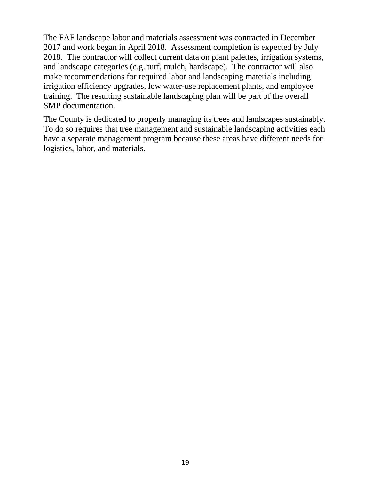The FAF landscape labor and materials assessment was contracted in December 2017 and work began in April 2018. Assessment completion is expected by July 2018. The contractor will collect current data on plant palettes, irrigation systems, and landscape categories (e.g. turf, mulch, hardscape). The contractor will also make recommendations for required labor and landscaping materials including irrigation efficiency upgrades, low water-use replacement plants, and employee training. The resulting sustainable landscaping plan will be part of the overall SMP documentation.

The County is dedicated to properly managing its trees and landscapes sustainably. To do so requires that tree management and sustainable landscaping activities each have a separate management program because these areas have different needs for logistics, labor, and materials.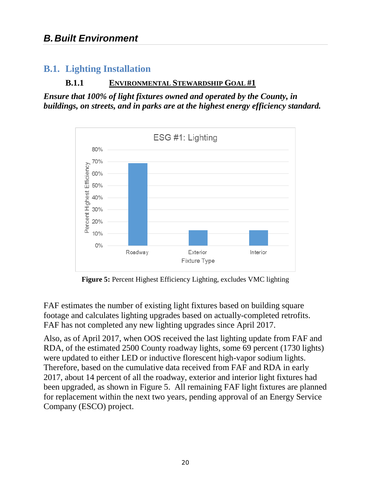## <span id="page-19-1"></span><span id="page-19-0"></span>**B.1. Lighting Installation**

#### **B.1.1 ENVIRONMENTAL STEWARDSHIP GOAL #1**

*Ensure that 100% of light fixtures owned and operated by the County, in buildings, on streets, and in parks are at the highest energy efficiency standard.*



**Figure 5:** Percent Highest Efficiency Lighting, excludes VMC lighting

FAF estimates the number of existing light fixtures based on building square footage and calculates lighting upgrades based on actually-completed retrofits. FAF has not completed any new lighting upgrades since April 2017.

Also, as of April 2017, when OOS received the last lighting update from FAF and RDA, of the estimated 2500 County roadway lights, some 69 percent (1730 lights) were updated to either LED or inductive florescent high-vapor sodium lights. Therefore, based on the cumulative data received from FAF and RDA in early 2017, about 14 percent of all the roadway, exterior and interior light fixtures had been upgraded, as shown in Figure 5. All remaining FAF light fixtures are planned for replacement within the next two years, pending approval of an Energy Service Company (ESCO) project.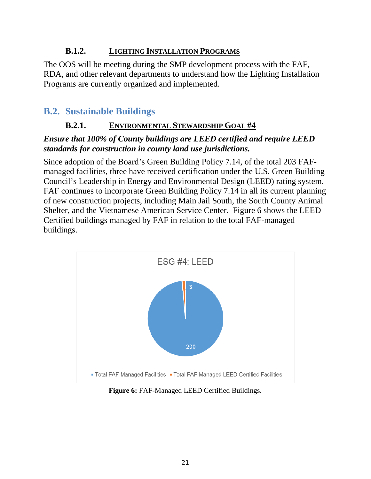### **B.1.2. LIGHTING INSTALLATION PROGRAMS**

The OOS will be meeting during the SMP development process with the FAF, RDA, and other relevant departments to understand how the Lighting Installation Programs are currently organized and implemented.

## <span id="page-20-0"></span>**B.2. Sustainable Buildings**

## **B.2.1. ENVIRONMENTAL STEWARDSHIP GOAL #4**

### *Ensure that 100% of County buildings are LEED certified and require LEED standards for construction in county land use jurisdictions.*

Since adoption of the Board's Green Building Policy 7.14, of the total 203 FAFmanaged facilities, three have received certification under the U.S. Green Building Council's Leadership in Energy and Environmental Design (LEED) rating system. FAF continues to incorporate Green Building Policy 7.14 in all its current planning of new construction projects, including Main Jail South, the South County Animal Shelter, and the Vietnamese American Service Center. Figure 6 shows the LEED Certified buildings managed by FAF in relation to the total FAF-managed buildings.



**Figure 6:** FAF-Managed LEED Certified Buildings.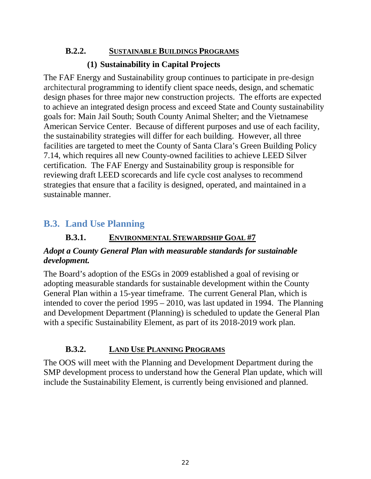#### **B.2.2. SUSTAINABLE BUILDINGS PROGRAMS**

## **(1) Sustainability in Capital Projects**

The FAF Energy and Sustainability group continues to participate in pre-design architectural programming to identify client space needs, design, and schematic design phases for three major new construction projects. The efforts are expected to achieve an integrated design process and exceed State and County sustainability goals for: Main Jail South; South County Animal Shelter; and the Vietnamese American Service Center. Because of different purposes and use of each facility, the sustainability strategies will differ for each building. However, all three facilities are targeted to meet the County of Santa Clara's Green Building Policy 7.14, which requires all new County-owned facilities to achieve LEED Silver certification. The FAF Energy and Sustainability group is responsible for reviewing draft LEED scorecards and life cycle cost analyses to recommend strategies that ensure that a facility is designed, operated, and maintained in a sustainable manner.

## <span id="page-21-0"></span>**B.3. Land Use Planning**

## **B.3.1. ENVIRONMENTAL STEWARDSHIP GOAL #7**

### *Adopt a County General Plan with measurable standards for sustainable development.*

The Board's adoption of the ESGs in 2009 established a goal of revising or adopting measurable standards for sustainable development within the County General Plan within a 15-year timeframe. The current General Plan, which is intended to cover the period 1995 – 2010, was last updated in 1994. The Planning and Development Department (Planning) is scheduled to update the General Plan with a specific Sustainability Element, as part of its 2018-2019 work plan.

## **B.3.2. LAND USE PLANNING PROGRAMS**

The OOS will meet with the Planning and Development Department during the SMP development process to understand how the General Plan update, which will include the Sustainability Element, is currently being envisioned and planned.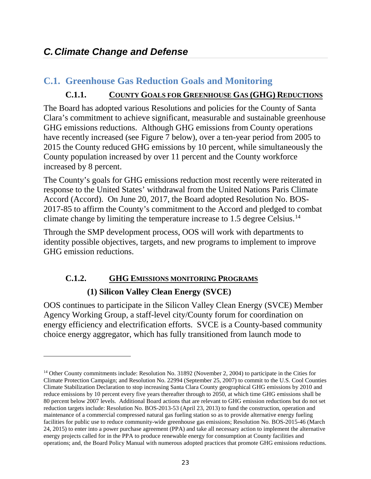## <span id="page-22-1"></span><span id="page-22-0"></span>**C.1. Greenhouse Gas Reduction Goals and Monitoring**

### **C.1.1. COUNTY GOALS FOR GREENHOUSE GAS (GHG) REDUCTIONS**

The Board has adopted various Resolutions and policies for the County of Santa Clara's commitment to achieve significant, measurable and sustainable greenhouse GHG emissions reductions. Although GHG emissions from County operations have recently increased (see Figure 7 below), over a ten-year period from 2005 to 2015 the County reduced GHG emissions by 10 percent, while simultaneously the County population increased by over 11 percent and the County workforce increased by 8 percent.

The County's goals for GHG emissions reduction most recently were reiterated in response to the United States' withdrawal from the United Nations Paris Climate Accord (Accord). On June 20, 2017, the Board adopted Resolution No. BOS-2017-85 to affirm the County's commitment to the Accord and pledged to combat climate change by limiting the temperature increase to 1.5 degree Celsius. [14](#page-22-2)

Through the SMP development process, OOS will work with departments to identity possible objectives, targets, and new programs to implement to improve GHG emission reductions.

## **C.1.2. GHG EMISSIONS MONITORING PROGRAMS (1) Silicon Valley Clean Energy (SVCE)**

 $\overline{a}$ 

OOS continues to participate in the Silicon Valley Clean Energy (SVCE) Member Agency Working Group, a staff-level city/County forum for coordination on energy efficiency and electrification efforts. SVCE is a County-based community choice energy aggregator, which has fully transitioned from launch mode to

<span id="page-22-2"></span><sup>&</sup>lt;sup>14</sup> Other County commitments include: Resolution No. 31892 (November 2, 2004) to participate in the Cities for Climate Protection Campaign; and Resolution No. 22994 (September 25, 2007) to commit to the U.S. Cool Counties Climate Stabilization Declaration to stop increasing Santa Clara County geographical GHG emissions by 2010 and reduce emissions by 10 percent every five years thereafter through to 2050, at which time GHG emissions shall be 80 percent below 2007 levels. Additional Board actions that are relevant to GHG emission reductions but do not set reduction targets include: Resolution No. BOS-2013-53 (April 23, 2013) to fund the construction, operation and maintenance of a commercial compressed natural gas fueling station so as to provide alternative energy fueling facilities for public use to reduce community-wide greenhouse gas emissions; Resolution No. BOS-2015-46 (March 24, 2015) to enter into a power purchase agreement (PPA) and take all necessary action to implement the alternative energy projects called for in the PPA to produce renewable energy for consumption at County facilities and operations; and, the Board Policy Manual with numerous adopted practices that promote GHG emissions reductions.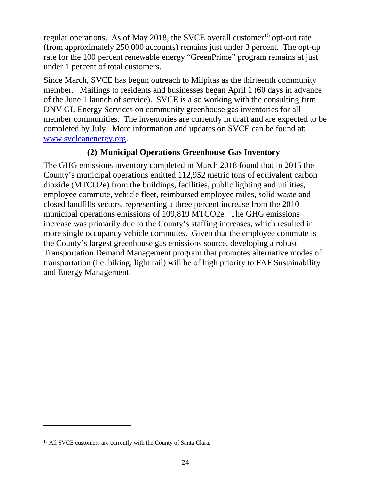regular operations. As of May 2018, the SVCE overall customer<sup>[15](#page-23-0)</sup> opt-out rate (from approximately 250,000 accounts) remains just under 3 percent. The opt-up rate for the 100 percent renewable energy "GreenPrime" program remains at just under 1 percent of total customers.

Since March, SVCE has begun outreach to Milpitas as the thirteenth community member. Mailings to residents and businesses began April 1 (60 days in advance) of the June 1 launch of service). SVCE is also working with the consulting firm DNV GL Energy Services on community greenhouse gas inventories for all member communities. The inventories are currently in draft and are expected to be completed by July. More information and updates on SVCE can be found at: [www.svcleanenergy.org.](http://www.svcleanenergy.org/)

#### **(2) Municipal Operations Greenhouse Gas Inventory**

The GHG emissions inventory completed in March 2018 found that in 2015 the County's municipal operations emitted 112,952 metric tons of equivalent carbon dioxide (MTCO2e) from the buildings, facilities, public lighting and utilities, employee commute, vehicle fleet, reimbursed employee miles, solid waste and closed landfills sectors, representing a three percent increase from the 2010 municipal operations emissions of 109,819 MTCO2e. The GHG emissions increase was primarily due to the County's staffing increases, which resulted in more single occupancy vehicle commutes. Given that the employee commute is the County's largest greenhouse gas emissions source, developing a robust Transportation Demand Management program that promotes alternative modes of transportation (i.e. biking, light rail) will be of high priority to FAF Sustainability and Energy Management.

 $\overline{a}$ 

<span id="page-23-0"></span><sup>&</sup>lt;sup>15</sup> All SVCE customers are currently with the County of Santa Clara.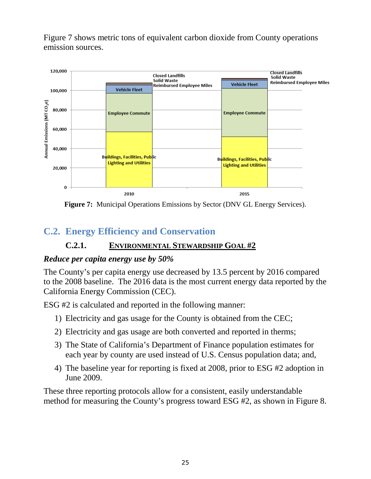Figure 7 shows metric tons of equivalent carbon dioxide from County operations emission sources.



**Figure 7:** Municipal Operations Emissions by Sector (DNV GL Energy Services).

## <span id="page-24-0"></span>**C.2. Energy Efficiency and Conservation**

## **C.2.1. ENVIRONMENTAL STEWARDSHIP GOAL #2**

## *Reduce per capita energy use by 50%*

The County's per capita energy use decreased by 13.5 percent by 2016 compared to the 2008 baseline. The 2016 data is the most current energy data reported by the California Energy Commission (CEC).

ESG #2 is calculated and reported in the following manner:

- 1) Electricity and gas usage for the County is obtained from the CEC;
- 2) Electricity and gas usage are both converted and reported in therms;
- 3) The State of California's Department of Finance population estimates for each year by county are used instead of U.S. Census population data; and,
- 4) The baseline year for reporting is fixed at 2008, prior to ESG #2 adoption in June 2009.

These three reporting protocols allow for a consistent, easily understandable method for measuring the County's progress toward ESG #2, as shown in Figure 8.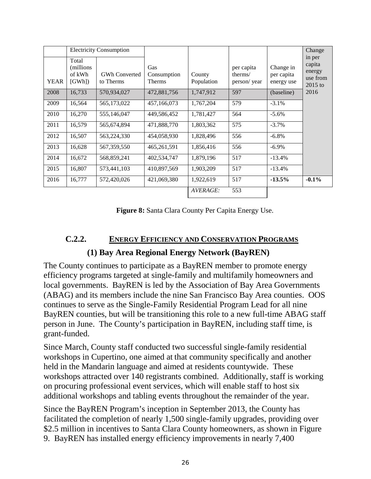|             | <b>Electricity Consumption</b>         |                                   |                              |                      |                                      |                                       | Change                                              |
|-------------|----------------------------------------|-----------------------------------|------------------------------|----------------------|--------------------------------------|---------------------------------------|-----------------------------------------------------|
| <b>YEAR</b> | Total<br>(millions)<br>of kWh<br>[GWh] | <b>GWh Converted</b><br>to Therms | Gas<br>Consumption<br>Therms | County<br>Population | per capita<br>therms/<br>person/year | Change in<br>per capita<br>energy use | in per<br>capita<br>energy<br>use from<br>$2015$ to |
| 2008        | 16,733                                 | 570,934,027                       | 472,881,756                  | 1,747,912            | 597                                  | (baseline)                            | 2016                                                |
| 2009        | 16,564                                 | 565, 173, 022                     | 457,166,073                  | 1,767,204            | 579                                  | $-3.1%$                               |                                                     |
| 2010        | 16,270                                 | 555,146,047                       | 449,586,452                  | 1,781,427            | 564                                  | $-5.6\%$                              |                                                     |
| 2011        | 16,579                                 | 565,674,894                       | 471,888,770                  | 1,803,362            | 575                                  | $-3.7\%$                              |                                                     |
| 2012        | 16,507                                 | 563,224,330                       | 454,058,930                  | 1,828,496            | 556                                  | $-6.8%$                               |                                                     |
| 2013        | 16,628                                 | 567, 359, 550                     | 465,261,591                  | 1,856,416            | 556                                  | $-6.9\%$                              |                                                     |
| 2014        | 16,672                                 | 568,859,241                       | 402,534,747                  | 1,879,196            | 517                                  | $-13.4%$                              |                                                     |
| 2015        | 16,807                                 | 573,441,103                       | 410,897,569                  | 1,903,209            | 517                                  | $-13.4%$                              |                                                     |
| 2016        | 16,777                                 | 572,420,026                       | 421,069,380                  | 1,922,619            | 517                                  | $-13.5%$                              | $-0.1\%$                                            |
|             |                                        |                                   |                              | AVERAGE:             | 553                                  |                                       |                                                     |

**Figure 8:** Santa Clara County Per Capita Energy Use.

### **C.2.2. ENERGY EFFICIENCY AND CONSERVATION PROGRAMS**

#### **(1) Bay Area Regional Energy Network (BayREN)**

The County continues to participate as a BayREN member to promote energy efficiency programs targeted at single-family and multifamily homeowners and local governments. BayREN is led by the Association of Bay Area Governments (ABAG) and its members include the nine San Francisco Bay Area counties. OOS continues to serve as the Single-Family Residential Program Lead for all nine BayREN counties, but will be transitioning this role to a new full-time ABAG staff person in June. The County's participation in BayREN, including staff time, is grant-funded.

Since March, County staff conducted two successful single-family residential workshops in Cupertino, one aimed at that community specifically and another held in the Mandarin language and aimed at residents countywide. These workshops attracted over 140 registrants combined. Additionally, staff is working on procuring professional event services, which will enable staff to host six additional workshops and tabling events throughout the remainder of the year.

Since the BayREN Program's inception in September 2013, the County has facilitated the completion of nearly 1,500 single-family upgrades, providing over \$2.5 million in incentives to Santa Clara County homeowners, as shown in Figure 9. BayREN has installed energy efficiency improvements in nearly 7,400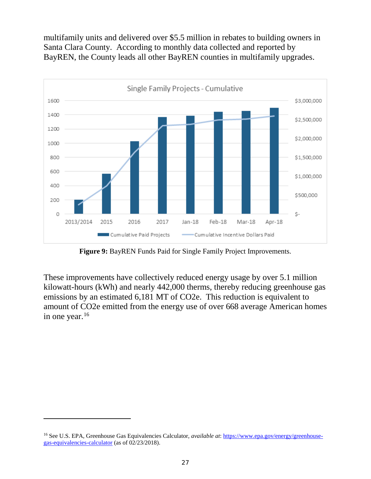multifamily units and delivered over \$5.5 million in rebates to building owners in Santa Clara County. According to monthly data collected and reported by BayREN, the County leads all other BayREN counties in multifamily upgrades.



**Figure 9:** BayREN Funds Paid for Single Family Project Improvements.

These improvements have collectively reduced energy usage by over 5.1 million kilowatt-hours (kWh) and nearly 442,000 therms, thereby reducing greenhouse gas emissions by an estimated 6,181 MT of CO2e. This reduction is equivalent to amount of CO2e emitted from the energy use of over 668 average American homes in one year.<sup>[16](#page-26-0)</sup>

 $\overline{a}$ 

<span id="page-26-0"></span><sup>16</sup> See U.S. EPA, Greenhouse Gas Equivalencies Calculator, *available at*[: https://www.epa.gov/energy/greenhouse](https://www.epa.gov/energy/greenhouse-gas-equivalencies-calculator)[gas-equivalencies-calculator](https://www.epa.gov/energy/greenhouse-gas-equivalencies-calculator) (as of 02/23/2018).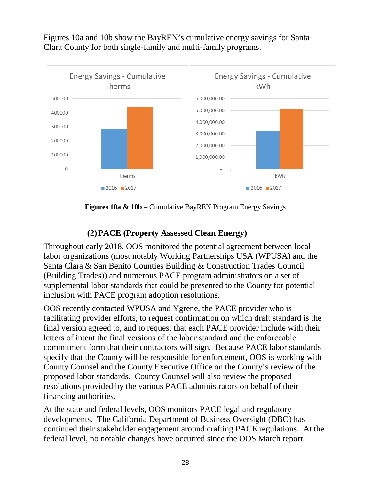Figures 10a and 10b show the BayREN's cumulative energy savings for Santa Clara County for both single-family and multi-family programs.



**Figures 10a & 10b** – Cumulative BayREN Program Energy Savings

## **(2)PACE (Property Assessed Clean Energy)**

Throughout early 2018, OOS monitored the potential agreement between local labor organizations (most notably Working Partnerships USA (WPUSA) and the Santa Clara & San Benito Counties Building & Construction Trades Council (Building Trades)) and numerous PACE program administrators on a set of supplemental labor standards that could be presented to the County for potential inclusion with PACE program adoption resolutions.

OOS recently contacted WPUSA and Ygrene, the PACE provider who is facilitating provider efforts, to request confirmation on which draft standard is the final version agreed to, and to request that each PACE provider include with their letters of intent the final versions of the labor standard and the enforceable commitment form that their contractors will sign. Because PACE labor standards specify that the County will be responsible for enforcement, OOS is working with County Counsel and the County Executive Office on the County's review of the proposed labor standards. County Counsel will also review the proposed resolutions provided by the various PACE administrators on behalf of their financing authorities.

At the state and federal levels, OOS monitors PACE legal and regulatory developments. The California Department of Business Oversight (DBO) has continued their stakeholder engagement around crafting PACE regulations. At the federal level, no notable changes have occurred since the OOS March report.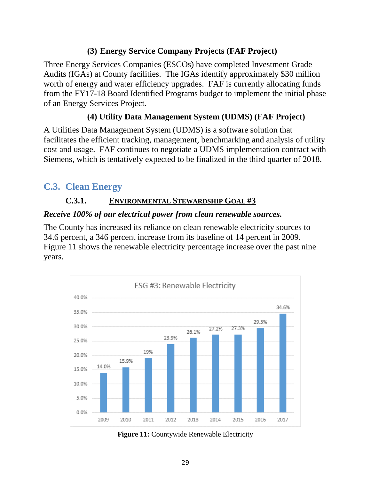### **(3) Energy Service Company Projects (FAF Project)**

Three Energy Services Companies (ESCOs) have completed Investment Grade Audits (IGAs) at County facilities. The IGAs identify approximately \$30 million worth of energy and water efficiency upgrades. FAF is currently allocating funds from the FY17-18 Board Identified Programs budget to implement the initial phase of an Energy Services Project.

### **(4) Utility Data Management System (UDMS) (FAF Project)**

A Utilities Data Management System (UDMS) is a software solution that facilitates the efficient tracking, management, benchmarking and analysis of utility cost and usage. FAF continues to negotiate a UDMS implementation contract with Siemens, which is tentatively expected to be finalized in the third quarter of 2018.

## <span id="page-28-0"></span>**C.3. Clean Energy**

## **C.3.1. ENVIRONMENTAL STEWARDSHIP GOAL #3**

#### *Receive 100% of our electrical power from clean renewable sources.*

The County has increased its reliance on clean renewable electricity sources to 34.6 percent, a 346 percent increase from its baseline of 14 percent in 2009. Figure 11 shows the renewable electricity percentage increase over the past nine years.



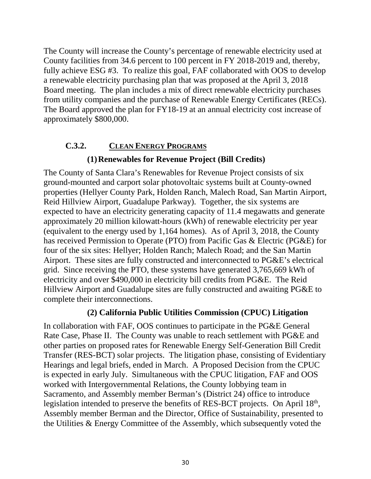The County will increase the County's percentage of renewable electricity used at County facilities from 34.6 percent to 100 percent in FY 2018-2019 and, thereby, fully achieve ESG #3. To realize this goal, FAF collaborated with OOS to develop a renewable electricity purchasing plan that was proposed at the April 3, 2018 Board meeting. The plan includes a mix of direct renewable electricity purchases from utility companies and the purchase of Renewable Energy Certificates (RECs). The Board approved the plan for FY18-19 at an annual electricity cost increase of approximately \$800,000.

# **C.3.2. CLEAN ENERGY PROGRAMS**

### **(1)Renewables for Revenue Project (Bill Credits)**

The County of Santa Clara's Renewables for Revenue Project consists of six ground-mounted and carport solar photovoltaic systems built at County-owned properties (Hellyer County Park, Holden Ranch, Malech Road, San Martin Airport, Reid Hillview Airport, Guadalupe Parkway). Together, the six systems are expected to have an electricity generating capacity of 11.4 megawatts and generate approximately 20 million kilowatt-hours (kWh) of renewable electricity per year (equivalent to the energy used by 1,164 homes). As of April 3, 2018, the County has received Permission to Operate (PTO) from Pacific Gas & Electric (PG&E) for four of the six sites: Hellyer; Holden Ranch; Malech Road; and the San Martin Airport. These sites are fully constructed and interconnected to PG&E's electrical grid. Since receiving the PTO, these systems have generated 3,765,669 kWh of electricity and over \$490,000 in electricity bill credits from PG&E. The Reid Hillview Airport and Guadalupe sites are fully constructed and awaiting PG&E to complete their interconnections.

#### **(2) California Public Utilities Commission (CPUC) Litigation**

In collaboration with FAF, OOS continues to participate in the PG&E General Rate Case, Phase II. The County was unable to reach settlement with PG&E and other parties on proposed rates for Renewable Energy Self-Generation Bill Credit Transfer (RES-BCT) solar projects. The litigation phase, consisting of Evidentiary Hearings and legal briefs, ended in March. A Proposed Decision from the CPUC is expected in early July. Simultaneous with the CPUC litigation, FAF and OOS worked with Intergovernmental Relations, the County lobbying team in Sacramento, and Assembly member Berman's (District 24) office to introduce legislation intended to preserve the benefits of RES-BCT projects. On April 18<sup>th</sup>, Assembly member Berman and the Director, Office of Sustainability, presented to the Utilities & Energy Committee of the Assembly, which subsequently voted the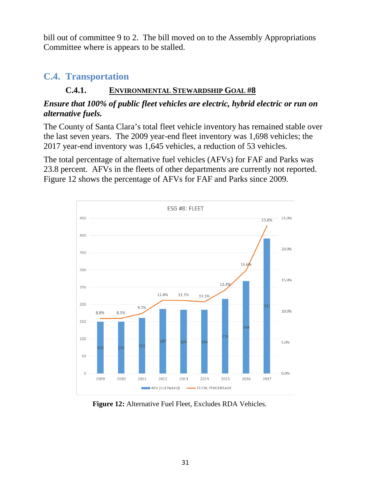bill out of committee 9 to 2. The bill moved on to the Assembly Appropriations Committee where is appears to be stalled.

## <span id="page-30-0"></span>**C.4. Transportation**

## **C.4.1. ENVIRONMENTAL STEWARDSHIP GOAL #8**

#### *Ensure that 100% of public fleet vehicles are electric, hybrid electric or run on alternative fuels.*

The County of Santa Clara's total fleet vehicle inventory has remained stable over the last seven years. The 2009 year-end fleet inventory was 1,698 vehicles; the 2017 year-end inventory was 1,645 vehicles, a reduction of 53 vehicles.

The total percentage of alternative fuel vehicles (AFVs) for FAF and Parks was 23.8 percent. AFVs in the fleets of other departments are currently not reported. Figure 12 shows the percentage of AFVs for FAF and Parks since 2009.



**Figure 12:** Alternative Fuel Fleet, Excludes RDA Vehicles.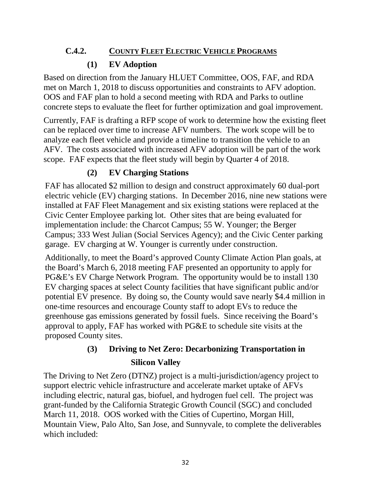## **C.4.2. COUNTY FLEET ELECTRIC VEHICLE PROGRAMS**

## **(1) EV Adoption**

Based on direction from the January HLUET Committee, OOS, FAF, and RDA met on March 1, 2018 to discuss opportunities and constraints to AFV adoption. OOS and FAF plan to hold a second meeting with RDA and Parks to outline concrete steps to evaluate the fleet for further optimization and goal improvement.

Currently, FAF is drafting a RFP scope of work to determine how the existing fleet can be replaced over time to increase AFV numbers. The work scope will be to analyze each fleet vehicle and provide a timeline to transition the vehicle to an AFV. The costs associated with increased AFV adoption will be part of the work scope. FAF expects that the fleet study will begin by Quarter 4 of 2018.

## **(2) EV Charging Stations**

FAF has allocated \$2 million to design and construct approximately 60 dual-port electric vehicle (EV) charging stations. In December 2016, nine new stations were installed at FAF Fleet Management and six existing stations were replaced at the Civic Center Employee parking lot. Other sites that are being evaluated for implementation include: the Charcot Campus; 55 W. Younger; the Berger Campus; 333 West Julian (Social Services Agency); and the Civic Center parking garage. EV charging at W. Younger is currently under construction.

Additionally, to meet the Board's approved County Climate Action Plan goals, at the Board's March 6, 2018 meeting FAF presented an opportunity to apply for PG&E's EV Charge Network Program. The opportunity would be to install 130 EV charging spaces at select County facilities that have significant public and/or potential EV presence. By doing so, the County would save nearly \$4.4 million in one-time resources and encourage County staff to adopt EVs to reduce the greenhouse gas emissions generated by fossil fuels. Since receiving the Board's approval to apply, FAF has worked with PG&E to schedule site visits at the proposed County sites.

## **(3) Driving to Net Zero: Decarbonizing Transportation in Silicon Valley**

The Driving to Net Zero (DTNZ) project is a multi-jurisdiction/agency project to support electric vehicle infrastructure and accelerate market uptake of AFVs including electric, natural gas, biofuel, and hydrogen fuel cell. The project was grant-funded by the California Strategic Growth Council (SGC) and concluded March 11, 2018. OOS worked with the Cities of Cupertino, Morgan Hill, Mountain View, Palo Alto, San Jose, and Sunnyvale, to complete the deliverables which included: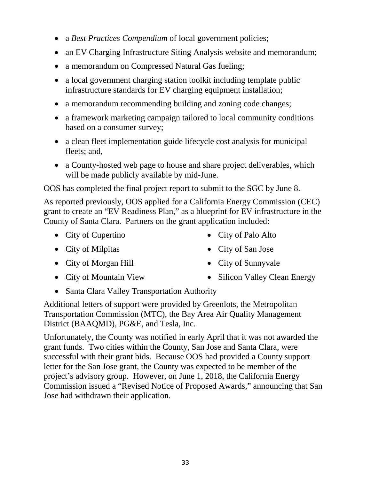- a *Best Practices Compendium* of local government policies;
- an EV Charging Infrastructure Siting Analysis website and memorandum;
- a memorandum on Compressed Natural Gas fueling;
- a local government charging station toolkit including template public infrastructure standards for EV charging equipment installation;
- a memorandum recommending building and zoning code changes;
- a framework marketing campaign tailored to local community conditions based on a consumer survey;
- a clean fleet implementation guide lifecycle cost analysis for municipal fleets; and,
- a County-hosted web page to house and share project deliverables, which will be made publicly available by mid-June.

OOS has completed the final project report to submit to the SGC by June 8.

As reported previously, OOS applied for a California Energy Commission (CEC) grant to create an "EV Readiness Plan," as a blueprint for EV infrastructure in the County of Santa Clara. Partners on the grant application included:

• City of Cupertino

• City of Palo Alto

• City of San Jose

- City of Milpitas
- City of Morgan Hill
- City of Sunnyvale
- City of Mountain View • Silicon Valley Clean Energy
- Santa Clara Valley Transportation Authority

Additional letters of support were provided by Greenlots, the Metropolitan Transportation Commission (MTC), the Bay Area Air Quality Management District (BAAQMD), PG&E, and Tesla, Inc.

Unfortunately, the County was notified in early April that it was not awarded the grant funds. Two cities within the County, San Jose and Santa Clara, were successful with their grant bids. Because OOS had provided a County support letter for the San Jose grant, the County was expected to be member of the project's advisory group. However, on June 1, 2018, the California Energy Commission issued a "Revised Notice of Proposed Awards," announcing that San Jose had withdrawn their application.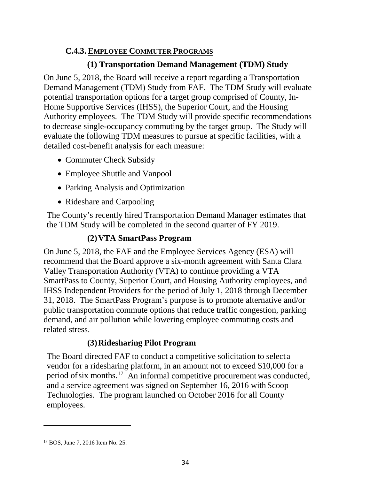## **C.4.3. EMPLOYEE COMMUTER PROGRAMS**

## **(1) Transportation Demand Management (TDM) Study**

On June 5, 2018, the Board will receive a report regarding a Transportation Demand Management (TDM) Study from FAF. The TDM Study will evaluate potential transportation options for a target group comprised of County, In-Home Supportive Services (IHSS), the Superior Court, and the Housing Authority employees. The TDM Study will provide specific recommendations to decrease single-occupancy commuting by the target group. The Study will evaluate the following TDM measures to pursue at specific facilities, with a detailed cost-benefit analysis for each measure:

- Commuter Check Subsidy
- Employee Shuttle and Vanpool
- Parking Analysis and Optimization
- Rideshare and Carpooling

The County's recently hired Transportation Demand Manager estimates that the TDM Study will be completed in the second quarter of FY 2019.

## **(2)VTA SmartPass Program**

On June 5, 2018, the FAF and the Employee Services Agency (ESA) will recommend that the Board approve a six-month agreement with Santa Clara Valley Transportation Authority (VTA) to continue providing a VTA SmartPass to County, Superior Court, and Housing Authority employees, and IHSS Independent Providers for the period of July 1, 2018 through December 31, 2018. The SmartPass Program's purpose is to promote alternative and/or public transportation commute options that reduce traffic congestion, parking demand, and air pollution while lowering employee commuting costs and related stress.

## **(3)Ridesharing Pilot Program**

The Board directed FAF to conduct a competitive solicitation to selecta vendor for a ridesharing platform, in an amount not to exceed \$10,000 for a period ofsix months.[17](#page-33-0) An informal competitive procurement was conducted, and a service agreement was signed on September 16, 2016 with Scoop Technologies. The program launched on October 2016 for all County employees.

 $\overline{a}$ 

<span id="page-33-0"></span><sup>17</sup> BOS, June 7, 2016 Item No. 25.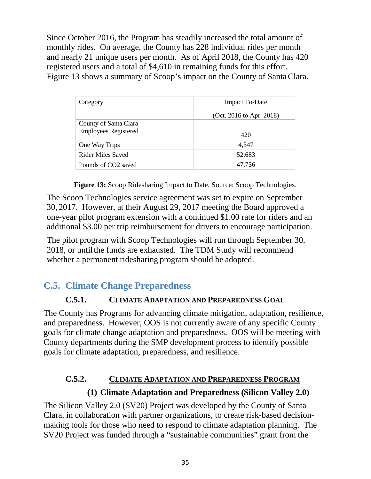Since October 2016, the Program has steadily increased the total amount of monthly rides. On average, the County has 228 individual rides per month and nearly 21 unique users per month. As of April 2018, the County has 420 registered users and a total of \$4,610 in remaining funds for this effort. Figure 13 shows a summary of Scoop's impact on the County of SantaClara.

| Category                                             | <b>Impact To-Date</b>    |  |  |
|------------------------------------------------------|--------------------------|--|--|
|                                                      | (Oct. 2016 to Apr. 2018) |  |  |
| County of Santa Clara<br><b>Employees Registered</b> | 420                      |  |  |
| One Way Trips                                        | 4,347                    |  |  |
| Rider Miles Saved                                    | 52,683                   |  |  |
| Pounds of CO <sub>2</sub> saved                      | 47,736                   |  |  |

**Figure 13:** Scoop Ridesharing Impact to Date, Source: Scoop Technologies.

The Scoop Technologies service agreement was set to expire on September 30, 2017. However, at their August 29, 2017 meeting the Board approved a one-year pilot program extension with a continued \$1.00 rate for riders and an additional \$3.00 per trip reimbursement for drivers to encourage participation.

The pilot program with Scoop Technologies will run through September 30, 2018, or until the funds are exhausted. The TDM Study will recommend whether a permanent ridesharing program should be adopted.

## <span id="page-34-0"></span>**C.5. Climate Change Preparedness**

#### **C.5.1. CLIMATE ADAPTATION AND PREPAREDNESS GOAL**

The County has Programs for advancing climate mitigation, adaptation, resilience, and preparedness. However, OOS is not currently aware of any specific County goals for climate change adaptation and preparedness. OOS will be meeting with County departments during the SMP development process to identify possible goals for climate adaptation, preparedness, and resilience.

## **C.5.2. CLIMATE ADAPTATION AND PREPAREDNESS PROGRAM**

## **(1) Climate Adaptation and Preparedness (Silicon Valley 2.0)**

The Silicon Valley 2.0 (SV20) Project was developed by the County of Santa Clara, in collaboration with partner organizations, to create risk-based decisionmaking tools for those who need to respond to climate adaptation planning. The SV20 Project was funded through a "sustainable communities" grant from the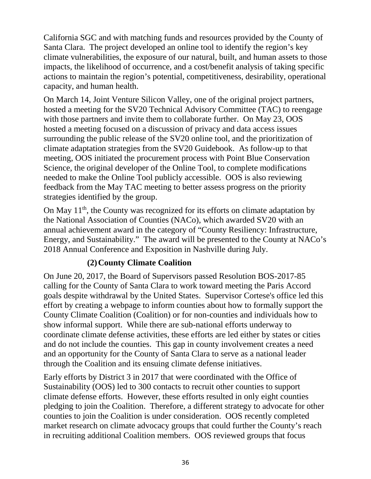California SGC and with matching funds and resources provided by the County of Santa Clara. The project developed an online tool to identify the region's key climate vulnerabilities, the exposure of our natural, built, and human assets to those impacts, the likelihood of occurrence, and a cost/benefit analysis of taking specific actions to maintain the region's potential, competitiveness, desirability, operational capacity, and human health.

On March 14, Joint Venture Silicon Valley, one of the original project partners, hosted a meeting for the SV20 Technical Advisory Committee (TAC) to reengage with those partners and invite them to collaborate further. On May 23, OOS hosted a meeting focused on a discussion of privacy and data access issues surrounding the public release of the SV20 online tool, and the prioritization of climate adaptation strategies from the SV20 Guidebook. As follow-up to that meeting, OOS initiated the procurement process with Point Blue Conservation Science, the original developer of the Online Tool, to complete modifications needed to make the Online Tool publicly accessible. OOS is also reviewing feedback from the May TAC meeting to better assess progress on the priority strategies identified by the group.

On May  $11<sup>th</sup>$ , the County was recognized for its efforts on climate adaptation by the National Association of Counties (NACo), which awarded SV20 with an annual achievement award in the category of "County Resiliency: Infrastructure, Energy, and Sustainability." The award will be presented to the County at NACo's 2018 Annual Conference and Exposition in Nashville during July.

## **(2)County Climate Coalition**

On June 20, 2017, the Board of Supervisors passed Resolution BOS-2017-85 calling for the County of Santa Clara to work toward meeting the Paris Accord goals despite withdrawal by the United States. Supervisor Cortese's office led this effort by creating a webpage to inform counties about how to formally support the County Climate Coalition (Coalition) or for non-counties and individuals how to show informal support. While there are sub-national efforts underway to coordinate climate defense activities, these efforts are led either by states or cities and do not include the counties. This gap in county involvement creates a need and an opportunity for the County of Santa Clara to serve as a national leader through the Coalition and its ensuing climate defense initiatives.

Early efforts by District 3 in 2017 that were coordinated with the Office of Sustainability (OOS) led to 300 contacts to recruit other counties to support climate defense efforts. However, these efforts resulted in only eight counties pledging to join the Coalition. Therefore, a different strategy to advocate for other counties to join the Coalition is under consideration. OOS recently completed market research on climate advocacy groups that could further the County's reach in recruiting additional Coalition members. OOS reviewed groups that focus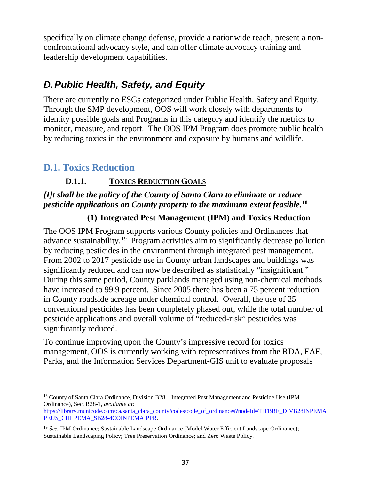specifically on climate change defense, provide a nationwide reach, present a nonconfrontational advocacy style, and can offer climate advocacy training and leadership development capabilities.

## <span id="page-36-0"></span>*D.Public Health, Safety, and Equity*

There are currently no ESGs categorized under Public Health, Safety and Equity. Through the SMP development, OOS will work closely with departments to identity possible goals and Programs in this category and identify the metrics to monitor, measure, and report. The OOS IPM Program does promote public health by reducing toxics in the environment and exposure by humans and wildlife.

## <span id="page-36-1"></span>**D.1. Toxics Reduction**

 $\overline{a}$ 

## **D.1.1. TOXICS REDUCTION GOALS**

### *[I]t shall be the policy of the County of Santa Clara to eliminate or reduce pesticide applications on County property to the maximum extent feasible.***[18](#page-36-2)**

## **(1) Integrated Pest Management (IPM) and Toxics Reduction**

The OOS IPM Program supports various County policies and Ordinances that advance sustainability.<sup>[19](#page-36-3)</sup> Program activities aim to significantly decrease pollution by reducing pesticides in the environment through integrated pest management. From 2002 to 2017 pesticide use in County urban landscapes and buildings was significantly reduced and can now be described as statistically "insignificant." During this same period, County parklands managed using non-chemical methods have increased to 99.9 percent. Since 2005 there has been a 75 percent reduction in County roadside acreage under chemical control. Overall, the use of 25 conventional pesticides has been completely phased out, while the total number of pesticide applications and overall volume of "reduced-risk" pesticides was significantly reduced.

To continue improving upon the County's impressive record for toxics management, OOS is currently working with representatives from the RDA, FAF, Parks, and the Information Services Department-GIS unit to evaluate proposals

<span id="page-36-2"></span><sup>&</sup>lt;sup>18</sup> County of Santa Clara Ordinance, Division B28 – Integrated Pest Management and Pesticide Use (IPM Ordinance), Sec. B28-1, *available at:*

[https://library.municode.com/ca/santa\\_clara\\_county/codes/code\\_of\\_ordinances?nodeId=TITBRE\\_DIVB28INPEMA](https://library.municode.com/ca/santa_clara_county/codes/code_of_ordinances?nodeId=TITBRE_DIVB28INPEMAPEUS_CHIIPEMA_SB28-4COINPEMAIPPR) PEUS CHIIPEMA SB28-4COINPEMAIPPR.

<span id="page-36-3"></span><sup>&</sup>lt;sup>19</sup> *See*: IPM Ordinance; Sustainable Landscape Ordinance (Model Water Efficient Landscape Ordinance); Sustainable Landscaping Policy; Tree Preservation Ordinance; and Zero Waste Policy.